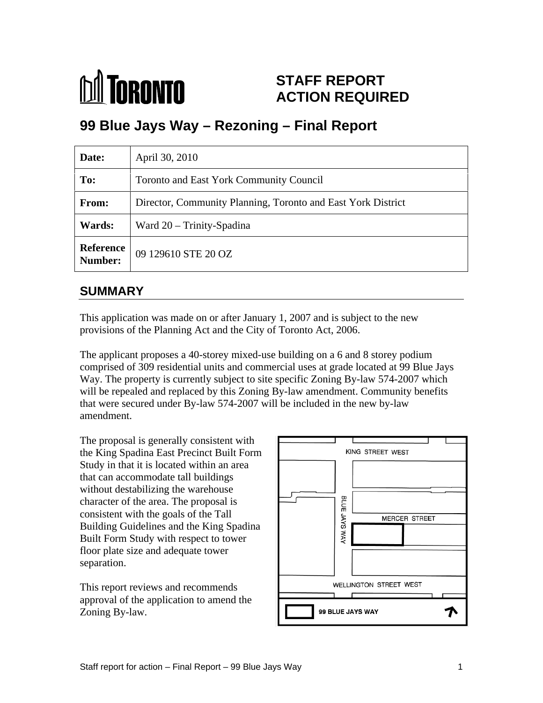

# **STAFF REPORT ACTION REQUIRED**

# **99 Blue Jays Way – Rezoning – Final Report**

| Date:  | April 30, 2010                                               |
|--------|--------------------------------------------------------------|
| To:    | Toronto and East York Community Council                      |
| From:  | Director, Community Planning, Toronto and East York District |
| Wards: | Ward 20 - Trinity-Spadina                                    |
|        | <b>Reference</b> 09 129610 STE 20 OZ<br><b>Number:</b>       |

#### **SUMMARY**

This application was made on or after January 1, 2007 and is subject to the new provisions of the Planning Act and the City of Toronto Act, 2006.

The applicant proposes a 40-storey mixed-use building on a 6 and 8 storey podium comprised of 309 residential units and commercial uses at grade located at 99 Blue Jays Way. The property is currently subject to site specific Zoning By-law 574-2007 which will be repealed and replaced by this Zoning By-law amendment. Community benefits that were secured under By-law 574-2007 will be included in the new by-law amendment.

The proposal is generally consistent with the King Spadina East Precinct Built Form Study in that it is located within an area that can accommodate tall buildings without destabilizing the warehouse<br>character of the area. The proposal is<br>consistent with the scale of the Tell character of the area. The proposal is consistent with the goals of the Tall<br>Building Guidelines and the King Spadina<br>Built Form Study with respect to tower Building Guidelines and the King Spadina Built Form Study with respect to tower floor plate size and adequate tower

approval of the application to amend the Zoning By-law.

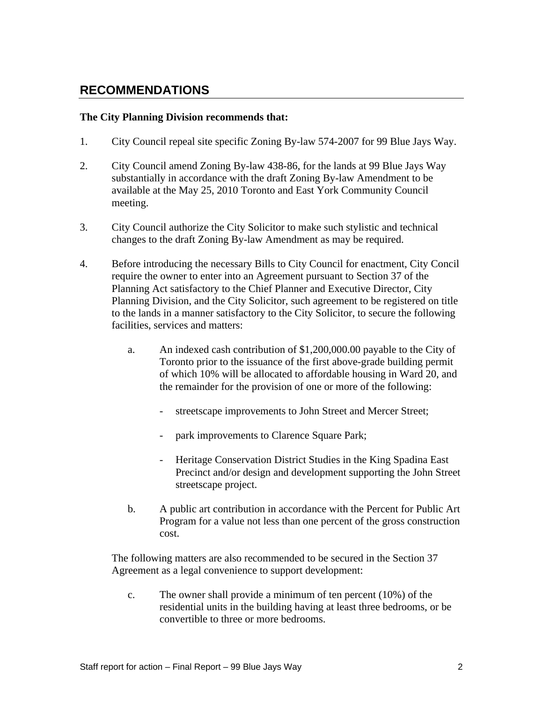#### **RECOMMENDATIONS**

#### **The City Planning Division recommends that:**

- 1. City Council repeal site specific Zoning By-law 574-2007 for 99 Blue Jays Way.
- 2. City Council amend Zoning By-law 438-86, for the lands at 99 Blue Jays Way substantially in accordance with the draft Zoning By-law Amendment to be available at the May 25, 2010 Toronto and East York Community Council meeting.
- 3. City Council authorize the City Solicitor to make such stylistic and technical changes to the draft Zoning By-law Amendment as may be required.
- 4. Before introducing the necessary Bills to City Council for enactment, City Concil require the owner to enter into an Agreement pursuant to Section 37 of the Planning Act satisfactory to the Chief Planner and Executive Director, City Planning Division, and the City Solicitor, such agreement to be registered on title to the lands in a manner satisfactory to the City Solicitor, to secure the following facilities, services and matters:
	- a. An indexed cash contribution of \$1,200,000.00 payable to the City of Toronto prior to the issuance of the first above-grade building permit of which 10% will be allocated to affordable housing in Ward 20, and the remainder for the provision of one or more of the following:
		- streetscape improvements to John Street and Mercer Street;
		- park improvements to Clarence Square Park;
		- Heritage Conservation District Studies in the King Spadina East Precinct and/or design and development supporting the John Street streetscape project.
	- b. A public art contribution in accordance with the Percent for Public Art Program for a value not less than one percent of the gross construction cost.

The following matters are also recommended to be secured in the Section 37 Agreement as a legal convenience to support development:

c. The owner shall provide a minimum of ten percent (10%) of the residential units in the building having at least three bedrooms, or be convertible to three or more bedrooms.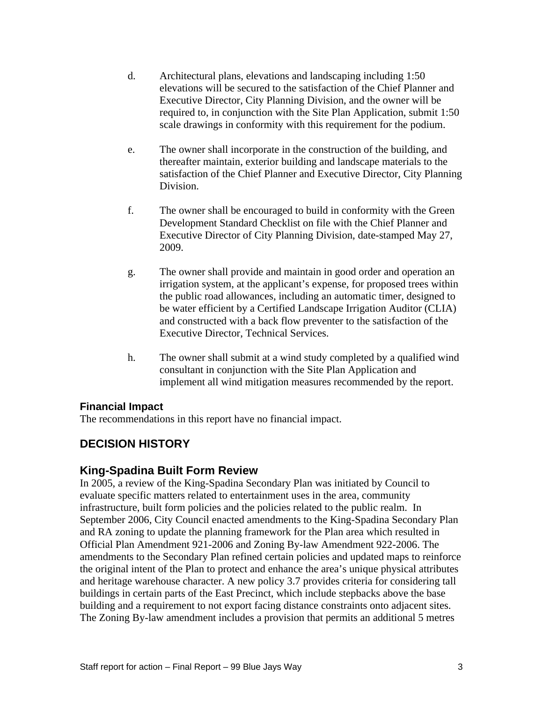- d. Architectural plans, elevations and landscaping including 1:50 elevations will be secured to the satisfaction of the Chief Planner and Executive Director, City Planning Division, and the owner will be required to, in conjunction with the Site Plan Application, submit 1:50 scale drawings in conformity with this requirement for the podium.
- e. The owner shall incorporate in the construction of the building, and thereafter maintain, exterior building and landscape materials to the satisfaction of the Chief Planner and Executive Director, City Planning Division.
- f. The owner shall be encouraged to build in conformity with the Green Development Standard Checklist on file with the Chief Planner and Executive Director of City Planning Division, date-stamped May 27, 2009.
- g. The owner shall provide and maintain in good order and operation an irrigation system, at the applicant's expense, for proposed trees within the public road allowances, including an automatic timer, designed to be water efficient by a Certified Landscape Irrigation Auditor (CLIA) and constructed with a back flow preventer to the satisfaction of the Executive Director, Technical Services.
- h. The owner shall submit at a wind study completed by a qualified wind consultant in conjunction with the Site Plan Application and implement all wind mitigation measures recommended by the report.

#### **Financial Impact**

The recommendations in this report have no financial impact.

#### **DECISION HISTORY**

#### **King-Spadina Built Form Review**

In 2005, a review of the King-Spadina Secondary Plan was initiated by Council to evaluate specific matters related to entertainment uses in the area, community infrastructure, built form policies and the policies related to the public realm. In September 2006, City Council enacted amendments to the King-Spadina Secondary Plan and RA zoning to update the planning framework for the Plan area which resulted in Official Plan Amendment 921-2006 and Zoning By-law Amendment 922-2006. The amendments to the Secondary Plan refined certain policies and updated maps to reinforce the original intent of the Plan to protect and enhance the area's unique physical attributes and heritage warehouse character. A new policy 3.7 provides criteria for considering tall buildings in certain parts of the East Precinct, which include stepbacks above the base building and a requirement to not export facing distance constraints onto adjacent sites. The Zoning By-law amendment includes a provision that permits an additional 5 metres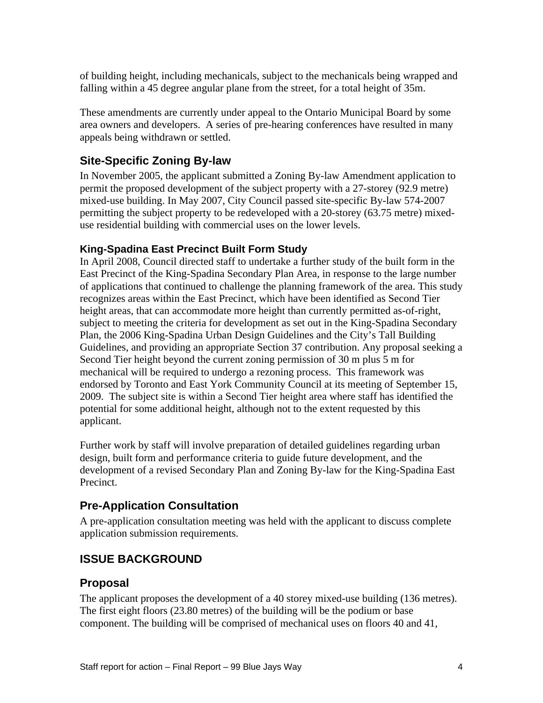of building height, including mechanicals, subject to the mechanicals being wrapped and falling within a 45 degree angular plane from the street, for a total height of 35m.

These amendments are currently under appeal to the Ontario Municipal Board by some area owners and developers. A series of pre-hearing conferences have resulted in many appeals being withdrawn or settled.

#### **Site-Specific Zoning By-law**

In November 2005, the applicant submitted a Zoning By-law Amendment application to permit the proposed development of the subject property with a 27-storey (92.9 metre) mixed-use building. In May 2007, City Council passed site-specific By-law 574-2007 permitting the subject property to be redeveloped with a 20-storey (63.75 metre) mixed use residential building with commercial uses on the lower levels.

#### **King-Spadina East Precinct Built Form Study**

In April 2008, Council directed staff to undertake a further study of the built form in the East Precinct of the King-Spadina Secondary Plan Area, in response to the large number of applications that continued to challenge the planning framework of the area. This study recognizes areas within the East Precinct, which have been identified as Second Tier height areas, that can accommodate more height than currently permitted as-of-right, subject to meeting the criteria for development as set out in the King-Spadina Secondary Plan, the 2006 King-Spadina Urban Design Guidelines and the City's Tall Building Guidelines, and providing an appropriate Section 37 contribution. Any proposal seeking a Second Tier height beyond the current zoning permission of 30 m plus 5 m for mechanical will be required to undergo a rezoning process. This framework was endorsed by Toronto and East York Community Council at its meeting of September 15, 2009. The subject site is within a Second Tier height area where staff has identified the potential for some additional height, although not to the extent requested by this applicant.

Further work by staff will involve preparation of detailed guidelines regarding urban design, built form and performance criteria to guide future development, and the development of a revised Secondary Plan and Zoning By-law for the King-Spadina East Precinct.

## **Pre-Application Consultation**

A pre-application consultation meeting was held with the applicant to discuss complete application submission requirements.

#### **ISSUE BACKGROUND**

#### **Proposal**

The applicant proposes the development of a 40 storey mixed-use building (136 metres). The first eight floors (23.80 metres) of the building will be the podium or base component. The building will be comprised of mechanical uses on floors 40 and 41,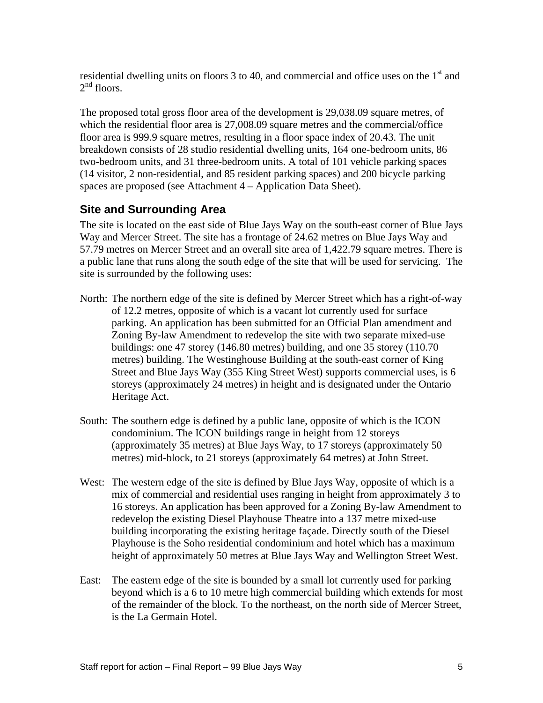residential dwelling units on floors 3 to 40, and commercial and office uses on the  $1<sup>st</sup>$  and  $2<sup>nd</sup>$  floors.  $2<sup>nd</sup>$  floors. nd floors.

The proposed total gross floor area of the development is 29,038.09 square metres, of which the residential floor area is 27,008.09 square metres and the commercial/office floor area is 999.9 square metres, resulting in a floor space index of 20.43. The unit breakdown consists of 28 studio residential dwelling units, 164 one-bedroom units, 86 two-bedroom units, and 31 three-bedroom units. A total of 101 vehicle parking spaces (14 visitor, 2 non-residential, and 85 resident parking spaces) and 200 bicycle parking spaces are proposed (see Attachment 4 – Application Data Sheet).

#### **Site and Surrounding Area**

The site is located on the east side of Blue Jays Way on the south-east corner of Blue Jays Way and Mercer Street. The site has a frontage of 24.62 metres on Blue Jays Way and 57.79 metres on Mercer Street and an overall site area of 1,422.79 square metres. There is a public lane that runs along the south edge of the site that will be used for servicing. The site is surrounded by the following uses:

- North: The northern edge of the site is defined by Mercer Street which has a right-of-way of 12.2 metres, opposite of which is a vacant lot currently used for surface parking. An application has been submitted for an Official Plan amendment and Zoning By-law Amendment to redevelop the site with two separate mixed-use buildings: one 47 storey (146.80 metres) building, and one 35 storey (110.70 metres) building. The Westinghouse Building at the south-east corner of King Street and Blue Jays Way (355 King Street West) supports commercial uses, is 6 storeys (approximately 24 metres) in height and is designated under the Ontario Heritage Act.
- South: The southern edge is defined by a public lane, opposite of which is the ICON condominium. The ICON buildings range in height from 12 storeys (approximately 35 metres) at Blue Jays Way, to 17 storeys (approximately 50 metres) mid-block, to 21 storeys (approximately 64 metres) at John Street.
- West: The western edge of the site is defined by Blue Jays Way, opposite of which is a mix of commercial and residential uses ranging in height from approximately 3 to 16 storeys. An application has been approved for a Zoning By-law Amendment to redevelop the existing Diesel Playhouse Theatre into a 137 metre mixed-use building incorporating the existing heritage façade. Directly south of the Diesel Playhouse is the Soho residential condominium and hotel which has a maximum height of approximately 50 metres at Blue Jays Way and Wellington Street West.
- East: The eastern edge of the site is bounded by a small lot currently used for parking beyond which is a 6 to 10 metre high commercial building which extends for most of the remainder of the block. To the northeast, on the north side of Mercer Street, is the La Germain Hotel.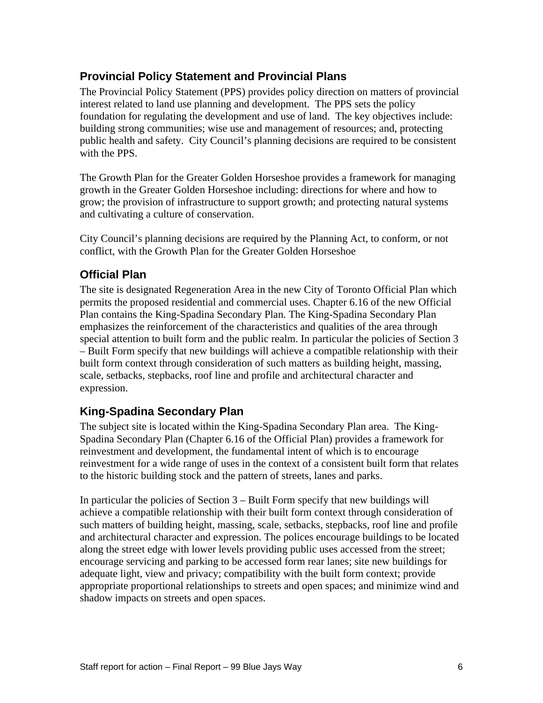#### **Provincial Policy Statement and Provincial Plans**

The Provincial Policy Statement (PPS) provides policy direction on matters of provincial interest related to land use planning and development. The PPS sets the policy foundation for regulating the development and use of land. The key objectives include: building strong communities; wise use and management of resources; and, protecting public health and safety. City Council's planning decisions are required to be consistent with the PPS.

The Growth Plan for the Greater Golden Horseshoe provides a framework for managing growth in the Greater Golden Horseshoe including: directions for where and how to grow; the provision of infrastructure to support growth; and protecting natural systems and cultivating a culture of conservation.

City Council's planning decisions are required by the Planning Act, to conform, or not conflict, with the Growth Plan for the Greater Golden Horseshoe

#### **Official Plan**

The site is designated Regeneration Area in the new City of Toronto Official Plan which permits the proposed residential and commercial uses. Chapter 6.16 of the new Official Plan contains the King-Spadina Secondary Plan. The King-Spadina Secondary Plan emphasizes the reinforcement of the characteristics and qualities of the area through special attention to built form and the public realm. In particular the policies of Section 3 – Built Form specify that new buildings will achieve a compatible relationship with their built form context through consideration of such matters as building height, massing, scale, setbacks, stepbacks, roof line and profile and architectural character and expression.

#### **King-Spadina Secondary Plan**

The subject site is located within the King-Spadina Secondary Plan area. The King- Spadina Secondary Plan (Chapter 6.16 of the Official Plan) provides a framework for reinvestment and development, the fundamental intent of which is to encourage reinvestment for a wide range of uses in the context of a consistent built form that relates to the historic building stock and the pattern of streets, lanes and parks.

In particular the policies of Section 3 – Built Form specify that new buildings will achieve a compatible relationship with their built form context through consideration of such matters of building height, massing, scale, setbacks, stepbacks, roof line and profile and architectural character and expression. The polices encourage buildings to be located along the street edge with lower levels providing public uses accessed from the street; encourage servicing and parking to be accessed form rear lanes; site new buildings for adequate light, view and privacy; compatibility with the built form context; provide appropriate proportional relationships to streets and open spaces; and minimize wind and shadow impacts on streets and open spaces.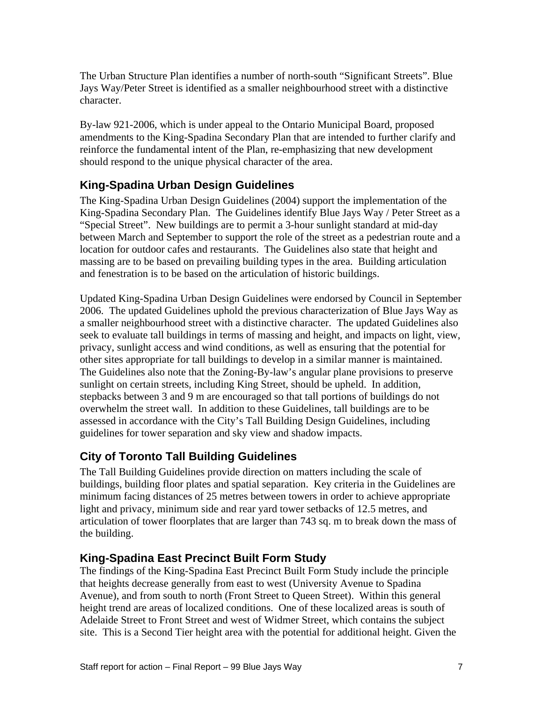The Urban Structure Plan identifies a number of north-south "Significant Streets". Blue Jays Way/Peter Street is identified as a smaller neighbourhood street with a distinctive character.

By-law 921-2006, which is under appeal to the Ontario Municipal Board, proposed amendments to the King-Spadina Secondary Plan that are intended to further clarify and reinforce the fundamental intent of the Plan, re-emphasizing that new development should respond to the unique physical character of the area.

## **King-Spadina Urban Design Guidelines**

The King-Spadina Urban Design Guidelines (2004) support the implementation of the King-Spadina Secondary Plan. The Guidelines identify Blue Jays Way / Peter Street as a "Special Street". New buildings are to permit a 3-hour sunlight standard at mid-day between March and September to support the role of the street as a pedestrian route and a location for outdoor cafes and restaurants. The Guidelines also state that height and massing are to be based on prevailing building types in the area. Building articulation and fenestration is to be based on the articulation of historic buildings.

Updated King-Spadina Urban Design Guidelines were endorsed by Council in September 2006. The updated Guidelines uphold the previous characterization of Blue Jays Way as a smaller neighbourhood street with a distinctive character. The updated Guidelines also seek to evaluate tall buildings in terms of massing and height, and impacts on light, view, privacy, sunlight access and wind conditions, as well as ensuring that the potential for other sites appropriate for tall buildings to develop in a similar manner is maintained. The Guidelines also note that the Zoning-By-law's angular plane provisions to preserve sunlight on certain streets, including King Street, should be upheld. In addition, stepbacks between 3 and 9 m are encouraged so that tall portions of buildings do not overwhelm the street wall. In addition to these Guidelines, tall buildings are to be assessed in accordance with the City's Tall Building Design Guidelines, including guidelines for tower separation and sky view and shadow impacts.

## **City of Toronto Tall Building Guidelines**

The Tall Building Guidelines provide direction on matters including the scale of buildings, building floor plates and spatial separation. Key criteria in the Guidelines are minimum facing distances of 25 metres between towers in order to achieve appropriate light and privacy, minimum side and rear yard tower setbacks of 12.5 metres, and articulation of tower floorplates that are larger than 743 sq. m to break down the mass of the building.

## **King-Spadina East Precinct Built Form Study**

The findings of the King-Spadina East Precinct Built Form Study include the principle that heights decrease generally from east to west (University Avenue to Spadina Avenue), and from south to north (Front Street to Queen Street). Within this general height trend are areas of localized conditions. One of these localized areas is south of Adelaide Street to Front Street and west of Widmer Street, which contains the subject site. This is a Second Tier height area with the potential for additional height. Given the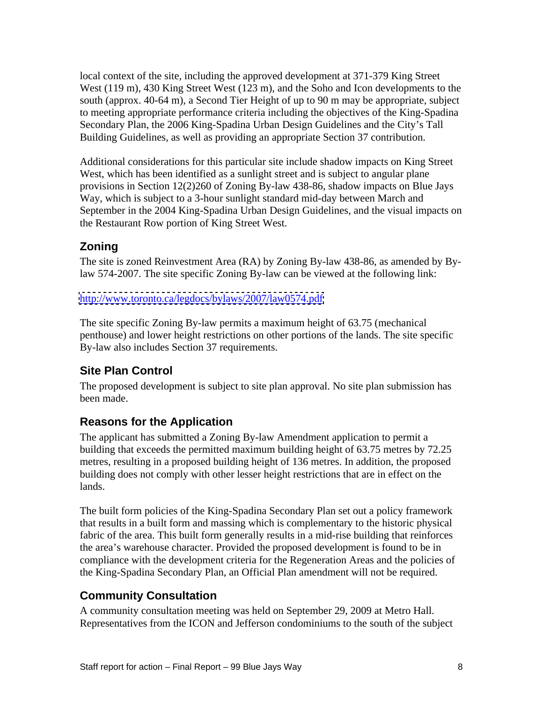local context of the site, including the approved development at 371-379 King Street West (119 m), 430 King Street West (123 m), and the Soho and Icon developments to the south (approx. 40-64 m), a Second Tier Height of up to 90 m may be appropriate, subject to meeting appropriate performance criteria including the objectives of the King-Spadina Secondary Plan, the 2006 King-Spadina Urban Design Guidelines and the City's Tall Building Guidelines, as well as providing an appropriate Section 37 contribution.

Additional considerations for this particular site include shadow impacts on King Street West, which has been identified as a sunlight street and is subject to angular plane provisions in Section 12(2)260 of Zoning By-law 438-86, shadow impacts on Blue Jays Way, which is subject to a 3-hour sunlight standard mid-day between March and September in the 2004 King-Spadina Urban Design Guidelines, and the visual impacts on the Restaurant Row portion of King Street West.

#### **Zoning**

The site is zoned Reinvestment Area (RA) by Zoning By-law 438-86, as amended by Bylaw 574-2007. The site specific Zoning By-law can be viewed at the following link:

<http://www.toronto.ca/legdocs/bylaws/2007/law0574.pdf>

The site specific Zoning By-law permits a maximum height of 63.75 (mechanical penthouse) and lower height restrictions on other portions of the lands. The site specific By-law also includes Section 37 requirements.

## **Site Plan Control**

The proposed development is subject to site plan approval. No site plan submission has been made.

#### **Reasons for the Application**

The applicant has submitted a Zoning By-law Amendment application to permit a building that exceeds the permitted maximum building height of 63.75 metres by 72.25 metres, resulting in a proposed building height of 136 metres. In addition, the proposed building does not comply with other lesser height restrictions that are in effect on the lands.

The built form policies of the King-Spadina Secondary Plan set out a policy framework that results in a built form and massing which is complementary to the historic physical fabric of the area. This built form generally results in a mid-rise building that reinforces the area's warehouse character. Provided the proposed development is found to be in compliance with the development criteria for the Regeneration Areas and the policies of the King-Spadina Secondary Plan, an Official Plan amendment will not be required.

#### **Community Consultation**

A community consultation meeting was held on September 29, 2009 at Metro Hall. Representatives from the ICON and Jefferson condominiums to the south of the subject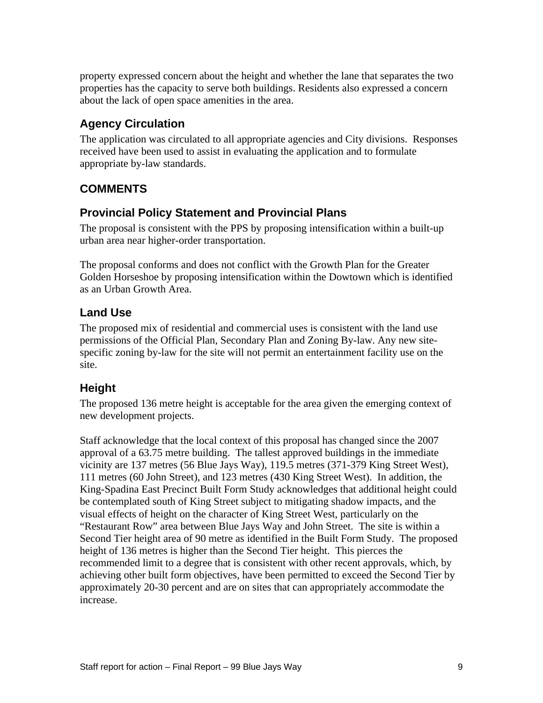property expressed concern about the height and whether the lane that separates the two properties has the capacity to serve both buildings. Residents also expressed a concern about the lack of open space amenities in the area.

## **Agency Circulation**

The application was circulated to all appropriate agencies and City divisions. Responses received have been used to assist in evaluating the application and to formulate appropriate by-law standards.

#### **COMMENTS**

#### **Provincial Policy Statement and Provincial Plans**

The proposal is consistent with the PPS by proposing intensification within a built-up urban area near higher-order transportation.

The proposal conforms and does not conflict with the Growth Plan for the Greater Golden Horseshoe by proposing intensification within the Dowtown which is identified as an Urban Growth Area.

#### **Land Use**

The proposed mix of residential and commercial uses is consistent with the land use permissions of the Official Plan, Secondary Plan and Zoning By-law. Any new site specific zoning by-law for the site will not permit an entertainment facility use on the site.

#### **Height**

The proposed 136 metre height is acceptable for the area given the emerging context of new development projects.

Staff acknowledge that the local context of this proposal has changed since the 2007 approval of a 63.75 metre building. The tallest approved buildings in the immediate vicinity are 137 metres (56 Blue Jays Way), 119.5 metres (371-379 King Street West), 111 metres (60 John Street), and 123 metres (430 King Street West). In addition, the King-Spadina East Precinct Built Form Study acknowledges that additional height could be contemplated south of King Street subject to mitigating shadow impacts, and the visual effects of height on the character of King Street West, particularly on the "Restaurant Row" area between Blue Jays Way and John Street. The site is within a Second Tier height area of 90 metre as identified in the Built Form Study. The proposed height of 136 metres is higher than the Second Tier height. This pierces the recommended limit to a degree that is consistent with other recent approvals, which, by achieving other built form objectives, have been permitted to exceed the Second Tier by approximately 20-30 percent and are on sites that can appropriately accommodate the increase.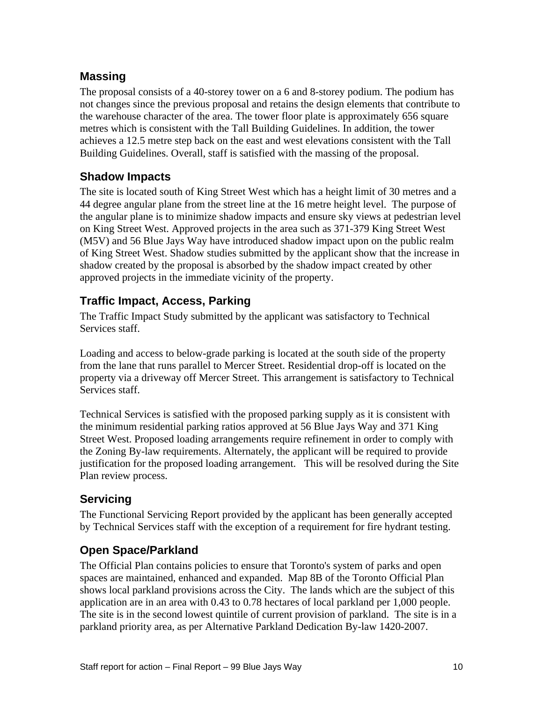#### **Massing**

The proposal consists of a 40-storey tower on a 6 and 8-storey podium. The podium has not changes since the previous proposal and retains the design elements that contribute to the warehouse character of the area. The tower floor plate is approximately 656 square metres which is consistent with the Tall Building Guidelines. In addition, the tower achieves a 12.5 metre step back on the east and west elevations consistent with the Tall Building Guidelines. Overall, staff is satisfied with the massing of the proposal.

#### **Shadow Impacts**

The site is located south of King Street West which has a height limit of 30 metres and a 44 degree angular plane from the street line at the 16 metre height level. The purpose of the angular plane is to minimize shadow impacts and ensure sky views at pedestrian level on King Street West. Approved projects in the area such as 371-379 King Street West (M5V) and 56 Blue Jays Way have introduced shadow impact upon on the public realm of King Street West. Shadow studies submitted by the applicant show that the increase in shadow created by the proposal is absorbed by the shadow impact created by other approved projects in the immediate vicinity of the property.

#### **Traffic Impact, Access, Parking**

The Traffic Impact Study submitted by the applicant was satisfactory to Technical Services staff.

Loading and access to below-grade parking is located at the south side of the property from the lane that runs parallel to Mercer Street. Residential drop-off is located on the property via a driveway off Mercer Street. This arrangement is satisfactory to Technical Services staff.

Technical Services is satisfied with the proposed parking supply as it is consistent with the minimum residential parking ratios approved at 56 Blue Jays Way and 371 King Street West. Proposed loading arrangements require refinement in order to comply with the Zoning By-law requirements. Alternately, the applicant will be required to provide justification for the proposed loading arrangement. This will be resolved during the Site Plan review process.

## **Servicing**

The Functional Servicing Report provided by the applicant has been generally accepted by Technical Services staff with the exception of a requirement for fire hydrant testing.

## **Open Space/Parkland**

The Official Plan contains policies to ensure that Toronto's system of parks and open spaces are maintained, enhanced and expanded. Map 8B of the Toronto Official Plan shows local parkland provisions across the City. The lands which are the subject of this application are in an area with 0.43 to 0.78 hectares of local parkland per 1,000 people. The site is in the second lowest quintile of current provision of parkland. The site is in a parkland priority area, as per Alternative Parkland Dedication By-law 1420-2007.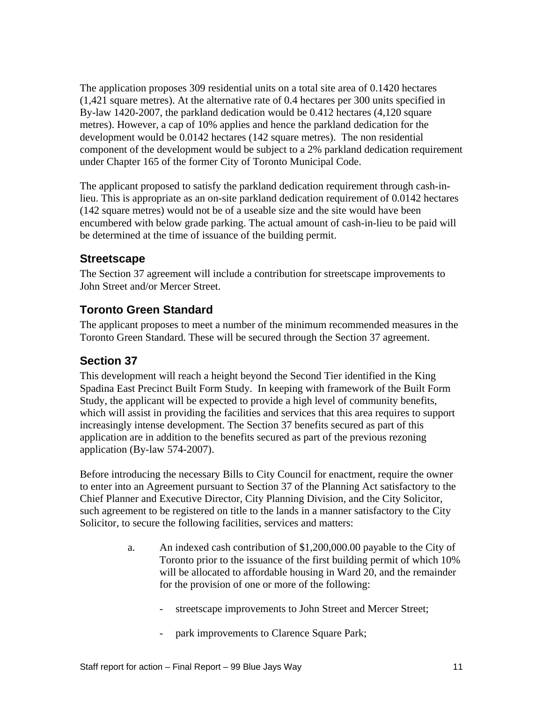The application proposes 309 residential units on a total site area of 0.1420 hectares (1,421 square metres). At the alternative rate of 0.4 hectares per 300 units specified in By-law 1420-2007, the parkland dedication would be 0.412 hectares (4,120 square metres). However, a cap of 10% applies and hence the parkland dedication for the development would be 0.0142 hectares (142 square metres). The non residential component of the development would be subject to a 2% parkland dedication requirement under Chapter 165 of the former City of Toronto Municipal Code.

The applicant proposed to satisfy the parkland dedication requirement through cash-inlieu. This is appropriate as an on-site parkland dedication requirement of 0.0142 hectares (142 square metres) would not be of a useable size and the site would have been encumbered with below grade parking. The actual amount of cash-in-lieu to be paid will be determined at the time of issuance of the building permit.

#### **Streetscape**

The Section 37 agreement will include a contribution for streetscape improvements to John Street and/or Mercer Street.

#### **Toronto Green Standard**

The applicant proposes to meet a number of the minimum recommended measures in the Toronto Green Standard. These will be secured through the Section 37 agreement.

#### **Section 37**

This development will reach a height beyond the Second Tier identified in the King Spadina East Precinct Built Form Study. In keeping with framework of the Built Form Study, the applicant will be expected to provide a high level of community benefits, which will assist in providing the facilities and services that this area requires to support increasingly intense development. The Section 37 benefits secured as part of this application are in addition to the benefits secured as part of the previous rezoning application (By-law 574-2007).

Before introducing the necessary Bills to City Council for enactment, require the owner to enter into an Agreement pursuant to Section 37 of the Planning Act satisfactory to the Chief Planner and Executive Director, City Planning Division, and the City Solicitor, such agreement to be registered on title to the lands in a manner satisfactory to the City Solicitor, to secure the following facilities, services and matters:

- a. An indexed cash contribution of \$1,200,000.00 payable to the City of Toronto prior to the issuance of the first building permit of which 10% will be allocated to affordable housing in Ward 20, and the remainder for the provision of one or more of the following:
	- streetscape improvements to John Street and Mercer Street;
	- park improvements to Clarence Square Park;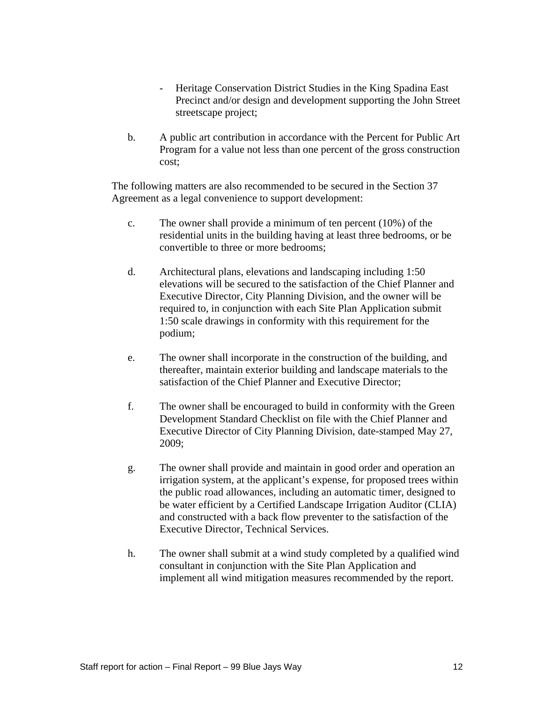- Heritage Conservation District Studies in the King Spadina East Precinct and/or design and development supporting the John Street streetscape project;
- b. A public art contribution in accordance with the Percent for Public Art Program for a value not less than one percent of the gross construction cost;

The following matters are also recommended to be secured in the Section 37 Agreement as a legal convenience to support development:

- c. The owner shall provide a minimum of ten percent (10%) of the residential units in the building having at least three bedrooms, or be convertible to three or more bedrooms;
- d. Architectural plans, elevations and landscaping including 1:50 elevations will be secured to the satisfaction of the Chief Planner and Executive Director, City Planning Division, and the owner will be required to, in conjunction with each Site Plan Application submit 1:50 scale drawings in conformity with this requirement for the podium;
- e. The owner shall incorporate in the construction of the building, and thereafter, maintain exterior building and landscape materials to the satisfaction of the Chief Planner and Executive Director;
- f. The owner shall be encouraged to build in conformity with the Green Development Standard Checklist on file with the Chief Planner and Executive Director of City Planning Division, date-stamped May 27, 2009;
- g. The owner shall provide and maintain in good order and operation an irrigation system, at the applicant's expense, for proposed trees within the public road allowances, including an automatic timer, designed to be water efficient by a Certified Landscape Irrigation Auditor (CLIA) and constructed with a back flow preventer to the satisfaction of the Executive Director, Technical Services.
- h. The owner shall submit at a wind study completed by a qualified wind consultant in conjunction with the Site Plan Application and implement all wind mitigation measures recommended by the report.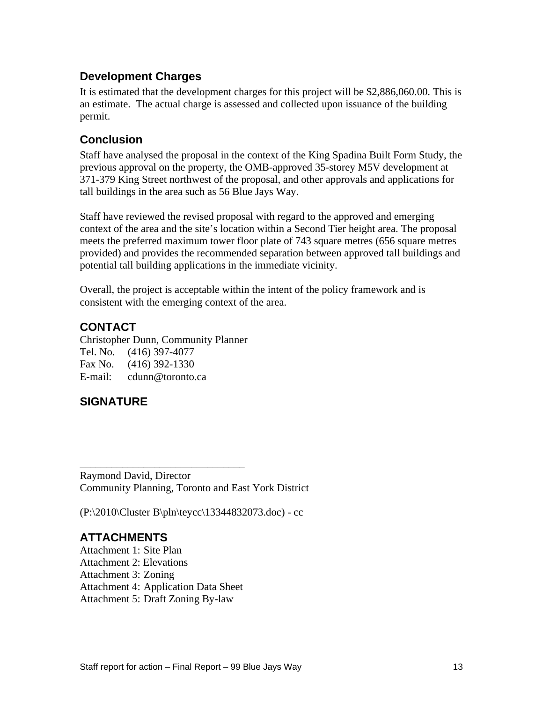#### **Development Charges**

It is estimated that the development charges for this project will be \$2,886,060.00. This is an estimate. The actual charge is assessed and collected upon issuance of the building permit.

#### **Conclusion**

Staff have analysed the proposal in the context of the King Spadina Built Form Study, the previous approval on the property, the OMB-approved 35-storey M5V development at 371-379 King Street northwest of the proposal, and other approvals and applications for tall buildings in the area such as 56 Blue Jays Way.<br>Staff have reviewed the revised proposal with regard to the approved and emerging

context of the area and the site's location within a Second Tier height area. The proposal meets the preferred maximum tower floor plate of 743 square metres (656 square metres provided) and provides the recommended separation between approved tall buildings and potential tall building applications in the immediate vicinity.

Overall, the project is acceptable within the intent of the policy framework and is consistent with the emerging context of the area.

#### **CONTACT**

Christopher Dunn, Community Planner Tel. No. (416) 397-4077 Fax No. (416) 392-1330 E-mail: cdunn@toronto.ca

## **SIGNATURE**

Raymond David, Director Community Planning, Toronto and East York District

(P:\2010\Cluster B\pln\teycc\13344832073.doc) - cc

## **ATTACHMENTS**

Attachment 1: Site Plan Attachment 2: Elevations Attachment 3: Zoning Attachment 4: Application Data Sheet Attachment 5: Draft Zoning By-law

 $\overline{\phantom{a}}$  , we are the contract of the contract of the contract of the contract of the contract of the contract of the contract of the contract of the contract of the contract of the contract of the contract of the cont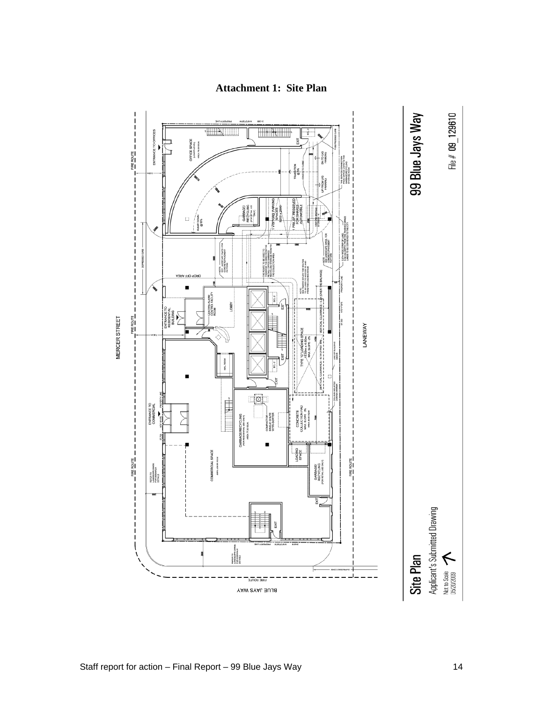

#### **Attachment 1: Site Plan**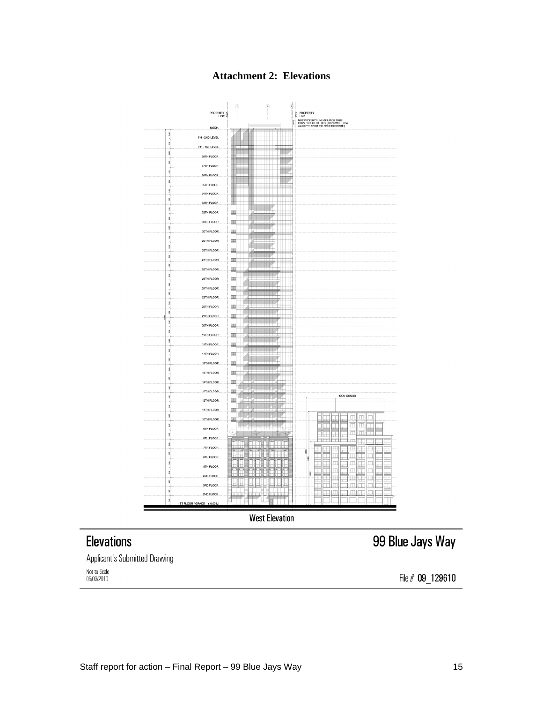**Attachment 2: Elevations**



**West Elevation** 

## **Elevations**

Applicant's Submitted Drawing

Not to Scale 05/03/2010

99 Blue Jays Way

File # 09\_129610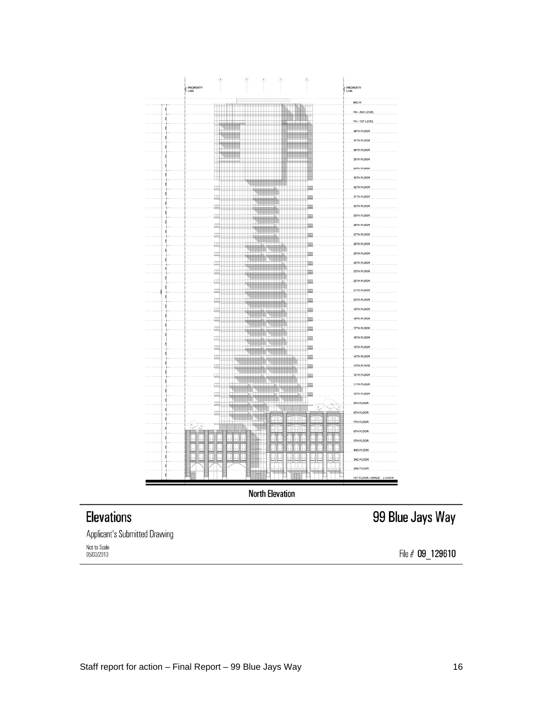|                          | ۰                               | $\circledast$          | ۰                                                     | ⊙                                          | $\circledast$                                                                                                                                                                                                                  |                            |                            |
|--------------------------|---------------------------------|------------------------|-------------------------------------------------------|--------------------------------------------|--------------------------------------------------------------------------------------------------------------------------------------------------------------------------------------------------------------------------------|----------------------------|----------------------------|
| PROPERTY                 |                                 |                        |                                                       |                                            |                                                                                                                                                                                                                                |                            | <b>PROPERTY</b>            |
|                          |                                 |                        |                                                       |                                            |                                                                                                                                                                                                                                |                            | MECH.                      |
| g.                       |                                 | $\overline{a}$         |                                                       | ∺<br><b>HERE</b>                           | ≞<br>÷<br>÷                                                                                                                                                                                                                    |                            | PH - 2ND LEVEL             |
| 30                       | 用                               |                        |                                                       |                                            |                                                                                                                                                                                                                                |                            | PH - 1ST LEVEL             |
| R                        |                                 |                        |                                                       | T                                          |                                                                                                                                                                                                                                |                            | 38TH FLOOR                 |
| ą                        | ₩<br>Щ                          |                        |                                                       |                                            |                                                                                                                                                                                                                                |                            | 37TH FLOOR                 |
| g                        | T                               |                        |                                                       |                                            | ÷                                                                                                                                                                                                                              |                            | 36TH FLOOR                 |
| ą                        |                                 |                        |                                                       |                                            | ŧ                                                                                                                                                                                                                              |                            | 35TH FLOOR                 |
| 3g                       | ₩                               |                        |                                                       |                                            | ŧ                                                                                                                                                                                                                              |                            | 34TH FLOOR                 |
| 9                        |                                 |                        |                                                       |                                            |                                                                                                                                                                                                                                |                            | 33TH FLOOR                 |
| 휯                        | 므                               |                        | Ħ                                                     |                                            |                                                                                                                                                                                                                                |                            | 32TH FLOOR                 |
| 휯                        | 므                               |                        | ш                                                     |                                            |                                                                                                                                                                                                                                |                            | 31TH FLOOR                 |
| $\frac{8}{2}$            | 프                               |                        | ₩                                                     |                                            | ㅡ                                                                                                                                                                                                                              |                            | 30TH FLOOR                 |
| SR.                      | 戸                               |                        | ≒                                                     |                                            |                                                                                                                                                                                                                                |                            | 29TH FLOOR                 |
| 38X                      | ᆖ                               |                        |                                                       |                                            |                                                                                                                                                                                                                                |                            | 28TH FLOOR                 |
| R                        | ≕                               | ⊞≒                     | K<br>Щ                                                |                                            | ш                                                                                                                                                                                                                              |                            | 27TH FLOOR                 |
| 9)                       | 므                               |                        | ш                                                     |                                            |                                                                                                                                                                                                                                |                            | 26TH FLOOR                 |
| 30                       | ⊞<br>.                          |                        |                                                       |                                            |                                                                                                                                                                                                                                |                            | 25TH FLOOR                 |
| $\frac{8}{3}$            | $\frac{1}{\sqrt{2}}$            |                        |                                                       |                                            | 므                                                                                                                                                                                                                              |                            | 24TH FLOOR                 |
| 3K                       | ▣                               | ♦                      |                                                       | ▆▙▏▏▏                                      |                                                                                                                                                                                                                                |                            | 23TH FLOOR                 |
| \$                       |                                 |                        | ш                                                     | ш<br>al de la                              |                                                                                                                                                                                                                                |                            | 22TH FLOOR                 |
| 8<br>3800                | 프                               | <b>The Second</b>      | X Hilli                                               |                                            |                                                                                                                                                                                                                                |                            | 21TH FLOOR                 |
| 8                        | ≞                               | Ħ                      | <b>_____</b>                                          | $\blacksquare$                             | HIT P                                                                                                                                                                                                                          |                            | 20TH FLOOR                 |
| 30                       | —                               |                        |                                                       |                                            |                                                                                                                                                                                                                                |                            | 19TH FLOOR                 |
| \$                       | 므                               | ◥                      |                                                       | HH.                                        |                                                                                                                                                                                                                                |                            | 18TH FLOOR                 |
| 9                        | 프<br>$\pm$                      | w                      |                                                       |                                            |                                                                                                                                                                                                                                |                            | 17TH FLOOR                 |
| 30                       | 4111111                         | ₩                      | ш<br>w                                                | ш<br>ans i i i i i i i                     | щ                                                                                                                                                                                                                              |                            | 16TH FLOOR                 |
| $\frac{30}{2}$           | ≞<br>$\overline{a}$             | $\overline{a}$<br>---- |                                                       | $\blacksquare$                             |                                                                                                                                                                                                                                |                            | 15TH FLOOR                 |
| 횣                        | ш<br>프<br>Ħ                     |                        | NE LE NE                                              | ---                                        |                                                                                                                                                                                                                                |                            | 14TH FLOOR                 |
| ę                        | 므<br>$\overline{\mathbb{H}}$ in |                        |                                                       | H                                          |                                                                                                                                                                                                                                |                            | 13TH FLOOR                 |
| R.                       | 므                               |                        |                                                       |                                            |                                                                                                                                                                                                                                |                            | 12TH FLOOR                 |
| $\frac{3}{2}$            | 里<br>$\pm$ $\pm$                |                        | <b>Contract Contract Contract Contract</b><br>ш<br>۸m | <b>Contract Contract Contract Contract</b> | ц                                                                                                                                                                                                                              |                            | <b>11TH FLOOR</b>          |
| $\frac{8}{30}$           | 쁘<br>$\overline{a}$             |                        | Ī<br>۸m<br>≕                                          |                                            | and the second second second second second second second second second second second second second second second second second second second second second second second second second second second second second second seco |                            | 10TH FLOOR                 |
| ų                        | 드                               |                        |                                                       |                                            |                                                                                                                                                                                                                                | Septembre<br>Propinsi<br>2 | 9TH FLOOR                  |
| 340                      | 戸<br>۳۳                         |                        | ₹<br>नित                                              |                                            |                                                                                                                                                                                                                                |                            | 8TH FLOOR                  |
| 380<br>فيكرم             |                                 |                        | <b>SHEEP</b>                                          | نست                                        | أأالأ                                                                                                                                                                                                                          | Œ                          | <b>TTH FLOOR</b>           |
| g                        |                                 |                        |                                                       | III<br>ПI                                  | III                                                                                                                                                                                                                            | 口                          | <b>6TH FLOOR</b>           |
| $\frac{3}{2}$            |                                 |                        | Į                                                     | □                                          | I                                                                                                                                                                                                                              | Ę                          | 5TH FLOOR                  |
| ş                        | Ţ                               |                        | н                                                     |                                            |                                                                                                                                                                                                                                | H                          | 4ND FLOOR                  |
| П<br>Ц<br>$\frac{9}{20}$ | Ţ<br>Ц                          | J                      | н                                                     | ш<br>ш                                     | ШH<br>ш                                                                                                                                                                                                                        | Ш<br>Н<br>н                | 3RD FLOOR                  |
| Ŋ                        |                                 |                        | ı                                                     |                                            | do.<br>Ħ                                                                                                                                                                                                                       |                            | 2ND FLOOR                  |
| 휯                        |                                 |                        |                                                       |                                            |                                                                                                                                                                                                                                |                            | 1ST FLOOR / GRADE ± 0.00 M |

**North Elevation** 

# **Elevations**

Applicant's Submitted Drawing Not to Scale<br>05/03/2010

99 Blue Jays Way

File # 09\_129610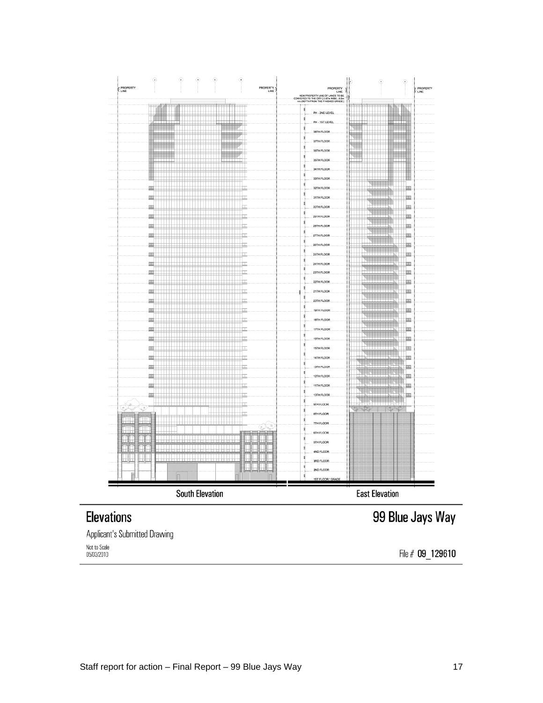

Applicant's Submitted Drawing Not to Scale 05/03/2010

File # 09 129610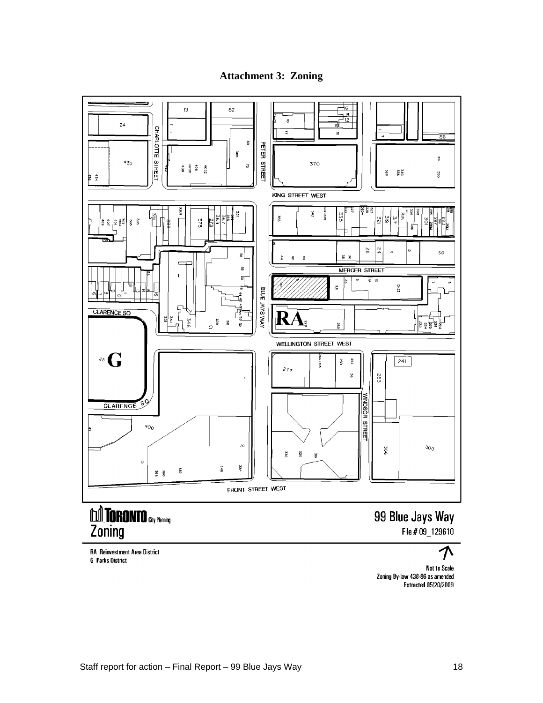



**RA** Reinvestment Area District **G** Parks District

File # 09\_129610

Not to Scale<br>Zoning By-law 438-86 as amended **Extracted 05/20/2009**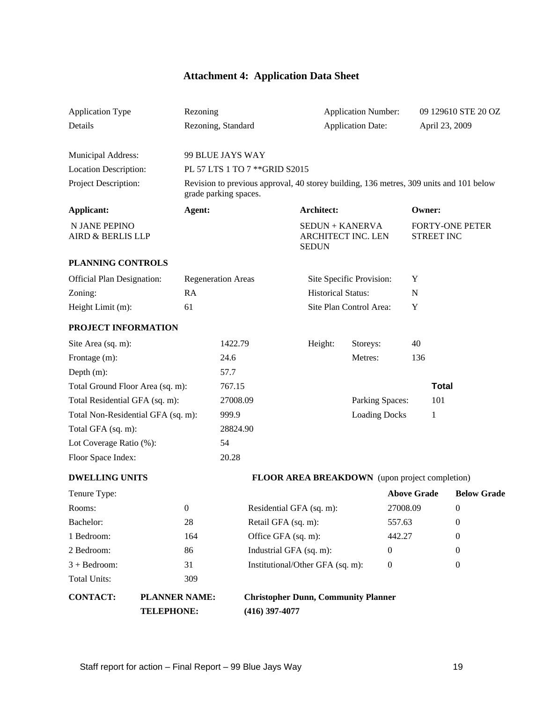## **Attachment 4: Application Data Sheet**

| Application Type                                  |                      | Rezoning                  |                                | <b>Application Number:</b>                                                             |                      | 09 129610 STE 20 OZ                  |                                |
|---------------------------------------------------|----------------------|---------------------------|--------------------------------|----------------------------------------------------------------------------------------|----------------------|--------------------------------------|--------------------------------|
| Details                                           |                      | Rezoning, Standard        |                                | <b>Application Date:</b>                                                               |                      | April 23, 2009                       |                                |
|                                                   |                      |                           |                                |                                                                                        |                      |                                      |                                |
| Municipal Address:                                |                      | 99 BLUE JAYS WAY          |                                |                                                                                        |                      |                                      |                                |
| <b>Location Description:</b>                      |                      |                           | PL 57 LTS 1 TO 7 ** GRID S2015 |                                                                                        |                      |                                      |                                |
| Project Description:                              |                      |                           |                                | Revision to previous approval, 40 storey building, 136 metres, 309 units and 101 below |                      |                                      |                                |
|                                                   |                      | grade parking spaces.     |                                |                                                                                        |                      |                                      |                                |
| <b>Applicant:</b>                                 |                      | Agent:                    |                                | <b>Architect:</b>                                                                      |                      | <b>Owner:</b>                        |                                |
| N JANE PEPINO<br>AIRD & BERLIS LLP                |                      |                           |                                | <b>SEDUN + KANERVA</b><br>ARCHITECT INC. LEN<br><b>SEDUN</b>                           |                      | <b>FORTY-ONE PETER</b><br>STREET INC |                                |
| PLANNING CONTROLS                                 |                      |                           |                                |                                                                                        |                      |                                      |                                |
| Official Plan Designation:                        |                      | <b>Regeneration Areas</b> |                                | Site Specific Provision: Y                                                             |                      |                                      |                                |
| Zoning:                                           | RA                   |                           |                                | <b>Historical Status:</b>                                                              | $\mathbf N$          |                                      |                                |
| Height Limit (m):                                 | 61                   |                           |                                | Site Plan Control Area:                                                                | $\mathbf{Y}$         |                                      |                                |
| PROJECT INFORMATION                               |                      |                           |                                |                                                                                        |                      |                                      |                                |
|                                                   |                      | 1422.79                   |                                |                                                                                        |                      | 40                                   |                                |
| Site Area (sq. m):                                |                      | 24.6                      |                                | Height:<br>Storeys:                                                                    |                      |                                      |                                |
| Frontage (m):                                     |                      |                           |                                | Metres:                                                                                |                      | 136                                  |                                |
| Depth $(m)$ :<br>Total Ground Floor Area (sq. m): |                      | 57.7<br>767.15            |                                |                                                                                        |                      | <b>Total</b>                         |                                |
| Total Residential GFA (sq. m):                    |                      |                           | 27008.09                       |                                                                                        | Parking Spaces:      | 101                                  |                                |
| Total Non-Residential GFA (sq. m):                |                      | 999.9                     |                                |                                                                                        | <b>Loading Docks</b> |                                      |                                |
| Total GFA (sq. m):                                |                      |                           | 28824.90                       |                                                                                        |                      |                                      |                                |
| Lot Coverage Ratio (%):                           |                      | 54                        |                                |                                                                                        |                      |                                      |                                |
| Floor Space Index:                                |                      | 20.28                     |                                |                                                                                        |                      |                                      |                                |
|                                                   |                      |                           |                                |                                                                                        |                      |                                      |                                |
| <b>DWELLING UNITS</b>                             |                      |                           |                                | FLOOR AREA BREAKDOWN (upon project completion)                                         |                      |                                      |                                |
| Tenure Type:                                      |                      |                           |                                |                                                                                        |                      |                                      | <b>Above Grade Below Grade</b> |
| Rooms:                                            |                      |                           | Residential GFA (sq. m):       |                                                                                        | 27008.09             | $\Omega$                             |                                |
| Bachelor:                                         | 28                   |                           | Retail GFA (sq. m):            |                                                                                        | 557.63               |                                      |                                |
| 1 Bedroom:                                        |                      | 164                       | Office GFA (sq. m):            |                                                                                        | 442.27               |                                      |                                |
| 2 Bedroom:                                        | 86                   |                           | Industrial GFA (sq. m):        |                                                                                        | $\overline{0}$       |                                      |                                |
| $3 + Bedroom:$                                    | 31                   |                           |                                | Institutional/Other GFA (sq. m):                                                       | $\overline{0}$       |                                      |                                |
| Total Units:                                      | 309                  |                           |                                |                                                                                        |                      |                                      |                                |
| <b>CONTACT:</b>                                   | <b>PLANNER NAME:</b> |                           |                                | <b>Christopher Dunn, Community Planner</b>                                             |                      |                                      |                                |
|                                                   | <b>TELEPHONE:</b>    |                           | $(416)$ 397-4077               |                                                                                        |                      |                                      |                                |